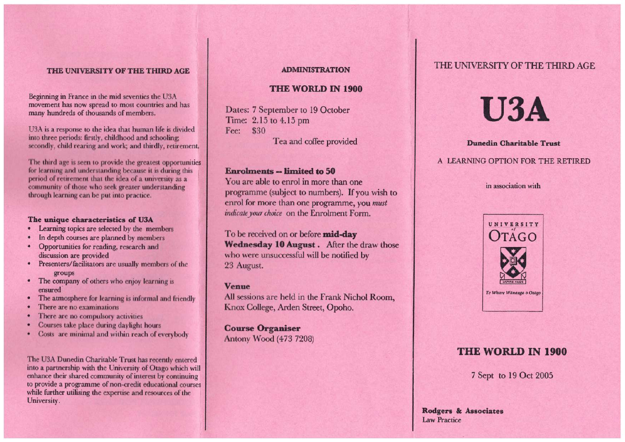Beginning in France in the mid seventies the U3A movement has now spread to most countries and has many hundreds of thousands of members.

U3A is a response to the idea that human life is divided into three periods: firstly, childhood and schooling; secondly, child rearing and work; and thirdly, retirement.

The third age is seen to provide the greatest opportunities for learning and understanding because it is during this period of retirement that the idea of a university as a community of those who seek greater understanding through learning can be put into practice.

#### **The unique characteristics of U3A**

- Learning topics are selected by the members
- In depth courses are planned by members
- Opportunities for reading, research and discussion are provided
- Presenters/facilitators are usually members of the groups
- The company of others who enjoy learning is ensured
- The atmosphere for learning is informal and friendly
- There are no examinations
- There are no compulsory activities
- Courses take place during daylight hours
- Costs are minimal and within reach of everybody

The U3A Dunedin Charitable Trust has recently entered into a partnership with the University of Otago which will enhance their shared community of interest by continuing to provide a programme of non-credit educational courses while further utilising the expertise and resources of the University.

#### **ADMINISTRATION**

#### **THE WORLD IN 1900**

Dates: 7 September to 19 October Time: 2.15 to 4.15 pm Fee: \$30

Tea and coffee provided

#### **Enrolments -- limited to 50**

You are able to enrol in more than one programme (subject to numbers). If you wish to enrol for more than one programme, you *must indicate your choice* on the Enrolment Form.

To be received on or before **mid-day Wednesday 10 August .** After the draw those who were unsuccessful will be notified by 23 August.

#### **Venue**

All sessions are held in the Frank Nichol Room, Knox College, Arden Street, Opoho.

**Course Organiser**  Antony Wood (473 7208)

# THE UNIVERSITY OF THE THIRD AGE **ADMINISTRATION THE UNIVERSITY OF THE THIRD AGE**

# **U3A**

#### **Dunedin Charitable Trust**

#### A LEARNING OPTION FOR THE RETIRED

#### in association with



# **THE WORLD IN 1900**

7 Sept to 19 Oct 2005

**Rodgers & Associates**  Law Practice